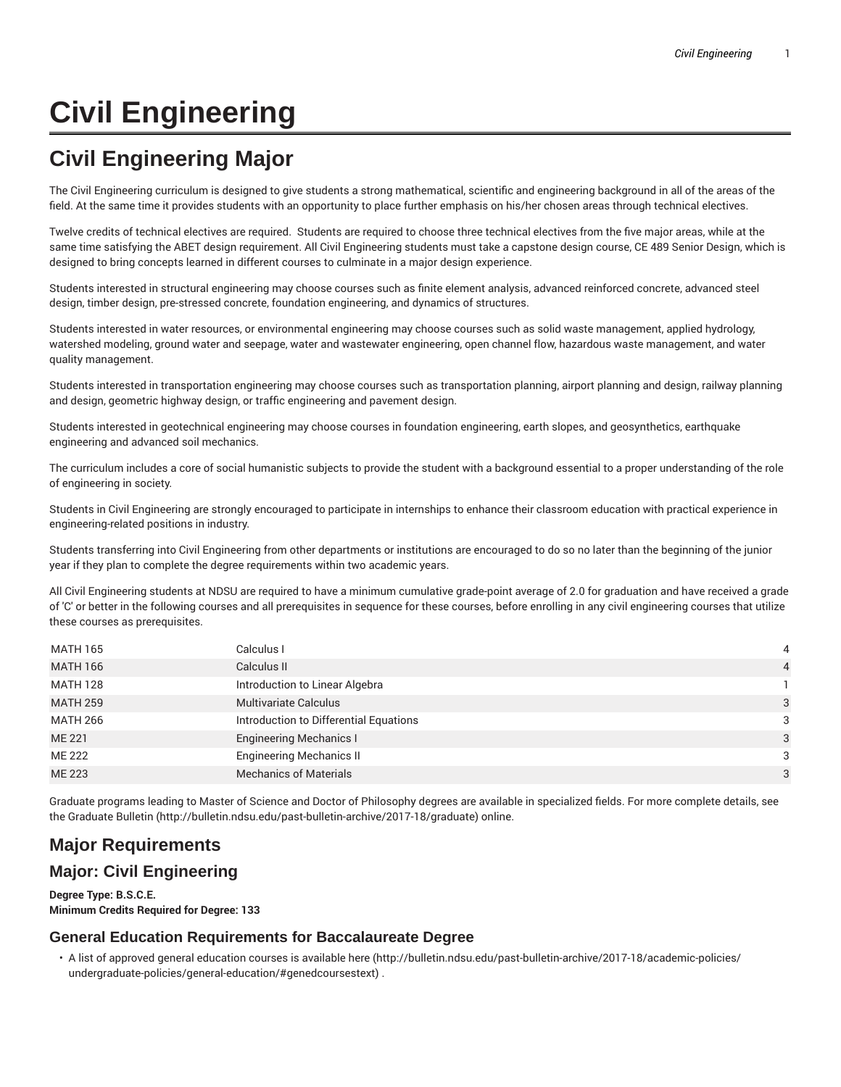# **Civil Engineering**

# **Civil Engineering Major**

The Civil Engineering curriculum is designed to give students a strong mathematical, scientific and engineering background in all of the areas of the field. At the same time it provides students with an opportunity to place further emphasis on his/her chosen areas through technical electives.

Twelve credits of technical electives are required. Students are required to choose three technical electives from the five major areas, while at the same time satisfying the ABET design requirement. All Civil Engineering students must take a capstone design course, CE 489 Senior Design, which is designed to bring concepts learned in different courses to culminate in a major design experience.

Students interested in structural engineering may choose courses such as finite element analysis, advanced reinforced concrete, advanced steel design, timber design, pre-stressed concrete, foundation engineering, and dynamics of structures.

Students interested in water resources, or environmental engineering may choose courses such as solid waste management, applied hydrology, watershed modeling, ground water and seepage, water and wastewater engineering, open channel flow, hazardous waste management, and water quality management.

Students interested in transportation engineering may choose courses such as transportation planning, airport planning and design, railway planning and design, geometric highway design, or traffic engineering and pavement design.

Students interested in geotechnical engineering may choose courses in foundation engineering, earth slopes, and geosynthetics, earthquake engineering and advanced soil mechanics.

The curriculum includes a core of social humanistic subjects to provide the student with a background essential to a proper understanding of the role of engineering in society.

Students in Civil Engineering are strongly encouraged to participate in internships to enhance their classroom education with practical experience in engineering-related positions in industry.

Students transferring into Civil Engineering from other departments or institutions are encouraged to do so no later than the beginning of the junior year if they plan to complete the degree requirements within two academic years.

All Civil Engineering students at NDSU are required to have a minimum cumulative grade-point average of 2.0 for graduation and have received a grade of 'C' or better in the following courses and all prerequisites in sequence for these courses, before enrolling in any civil engineering courses that utilize these courses as prerequisites.

| MATH 165        | Calculus I                             | 4              |
|-----------------|----------------------------------------|----------------|
| <b>MATH 166</b> | Calculus II                            | $\overline{4}$ |
| <b>MATH 128</b> | Introduction to Linear Algebra         |                |
| <b>MATH 259</b> | <b>Multivariate Calculus</b>           | 3              |
| <b>MATH 266</b> | Introduction to Differential Equations | 3              |
| ME 221          | <b>Engineering Mechanics I</b>         | 3              |
| ME 222          | <b>Engineering Mechanics II</b>        | 3              |
| <b>ME 223</b>   | <b>Mechanics of Materials</b>          | 3              |

Graduate programs leading to Master of Science and Doctor of Philosophy degrees are available in specialized fields. For more complete details, see the Graduate Bulletin (http://bulletin.ndsu.edu/past-bulletin-archive/2017-18/graduate) online.

# **Major Requirements**

## **Major: Civil Engineering**

**Degree Type: B.S.C.E. Minimum Credits Required for Degree: 133**

#### **General Education Requirements for Baccalaureate Degree**

• A list of approved general education courses is available here (http://bulletin.ndsu.edu/past-bulletin-archive/2017-18/academic-policies/ undergraduate-policies/general-education/#genedcoursestext) .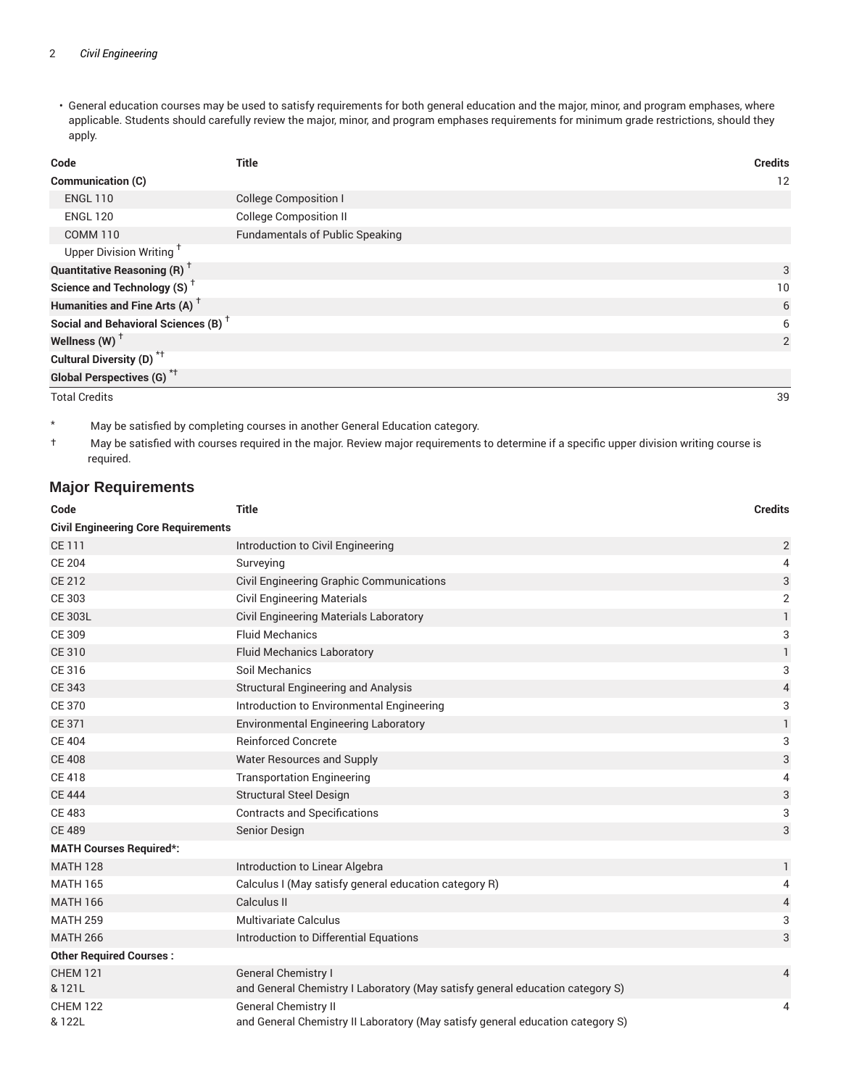• General education courses may be used to satisfy requirements for both general education and the major, minor, and program emphases, where applicable. Students should carefully review the major, minor, and program emphases requirements for minimum grade restrictions, should they apply.

| Code                                            | <b>Title</b>                           | <b>Credits</b> |
|-------------------------------------------------|----------------------------------------|----------------|
| <b>Communication (C)</b>                        |                                        | 12             |
| <b>ENGL 110</b>                                 | <b>College Composition I</b>           |                |
| <b>ENGL 120</b>                                 | <b>College Composition II</b>          |                |
| <b>COMM 110</b>                                 | <b>Fundamentals of Public Speaking</b> |                |
| Upper Division Writing <sup>+</sup>             |                                        |                |
| <b>Quantitative Reasoning (R)</b> <sup>†</sup>  |                                        | 3              |
| Science and Technology (S) <sup>+</sup>         |                                        | 10             |
| Humanities and Fine Arts (A) <sup>+</sup>       |                                        | 6              |
| Social and Behavioral Sciences (B) <sup>+</sup> |                                        | 6              |
| Wellness (W) $^{\dagger}$                       |                                        | 2              |
| Cultural Diversity (D) <sup>*†</sup>            |                                        |                |
| <b>Global Perspectives (G)</b> <sup>*†</sup>    |                                        |                |

Total Credits 39

\* May be satisfied by completing courses in another General Education category.

† May be satisfied with courses required in the major. Review major requirements to determine if a specific upper division writing course is required.

### **Major Requirements**

| Code                                       | <b>Title</b>                                                                   | <b>Credits</b> |
|--------------------------------------------|--------------------------------------------------------------------------------|----------------|
| <b>Civil Engineering Core Requirements</b> |                                                                                |                |
| <b>CE111</b>                               | Introduction to Civil Engineering                                              | $\overline{2}$ |
| <b>CE 204</b>                              | Surveying                                                                      | 4              |
| <b>CE 212</b>                              | Civil Engineering Graphic Communications                                       | 3              |
| CE 303                                     | <b>Civil Engineering Materials</b>                                             | $\overline{2}$ |
| <b>CE 303L</b>                             | Civil Engineering Materials Laboratory                                         | $\mathbf{1}$   |
| CE 309                                     | <b>Fluid Mechanics</b>                                                         | 3              |
| <b>CE 310</b>                              | <b>Fluid Mechanics Laboratory</b>                                              | $\mathbf{1}$   |
| CE 316                                     | Soil Mechanics                                                                 | 3              |
| <b>CE 343</b>                              | <b>Structural Engineering and Analysis</b>                                     | 4              |
| <b>CE 370</b>                              | Introduction to Environmental Engineering                                      | 3              |
| <b>CE 371</b>                              | <b>Environmental Engineering Laboratory</b>                                    | $\mathbf{1}$   |
| <b>CE 404</b>                              | <b>Reinforced Concrete</b>                                                     | 3              |
| <b>CE 408</b>                              | Water Resources and Supply                                                     | 3              |
| <b>CE 418</b>                              | <b>Transportation Engineering</b>                                              | 4              |
| <b>CE 444</b>                              | <b>Structural Steel Design</b>                                                 | 3              |
| <b>CE 483</b>                              | <b>Contracts and Specifications</b>                                            | 3              |
| <b>CE 489</b>                              | Senior Design                                                                  | 3              |
| <b>MATH Courses Required*:</b>             |                                                                                |                |
| <b>MATH 128</b>                            | Introduction to Linear Algebra                                                 | 1              |
| <b>MATH 165</b>                            | Calculus I (May satisfy general education category R)                          | 4              |
| <b>MATH 166</b>                            | Calculus II                                                                    | 4              |
| <b>MATH 259</b>                            | <b>Multivariate Calculus</b>                                                   | 3              |
| <b>MATH 266</b>                            | Introduction to Differential Equations                                         | 3              |
| <b>Other Required Courses:</b>             |                                                                                |                |
| <b>CHEM 121</b>                            | General Chemistry I                                                            | 4              |
| & 121L                                     | and General Chemistry I Laboratory (May satisfy general education category S)  |                |
| <b>CHEM 122</b>                            | <b>General Chemistry II</b>                                                    | 4              |
| & 122L                                     | and General Chemistry II Laboratory (May satisfy general education category S) |                |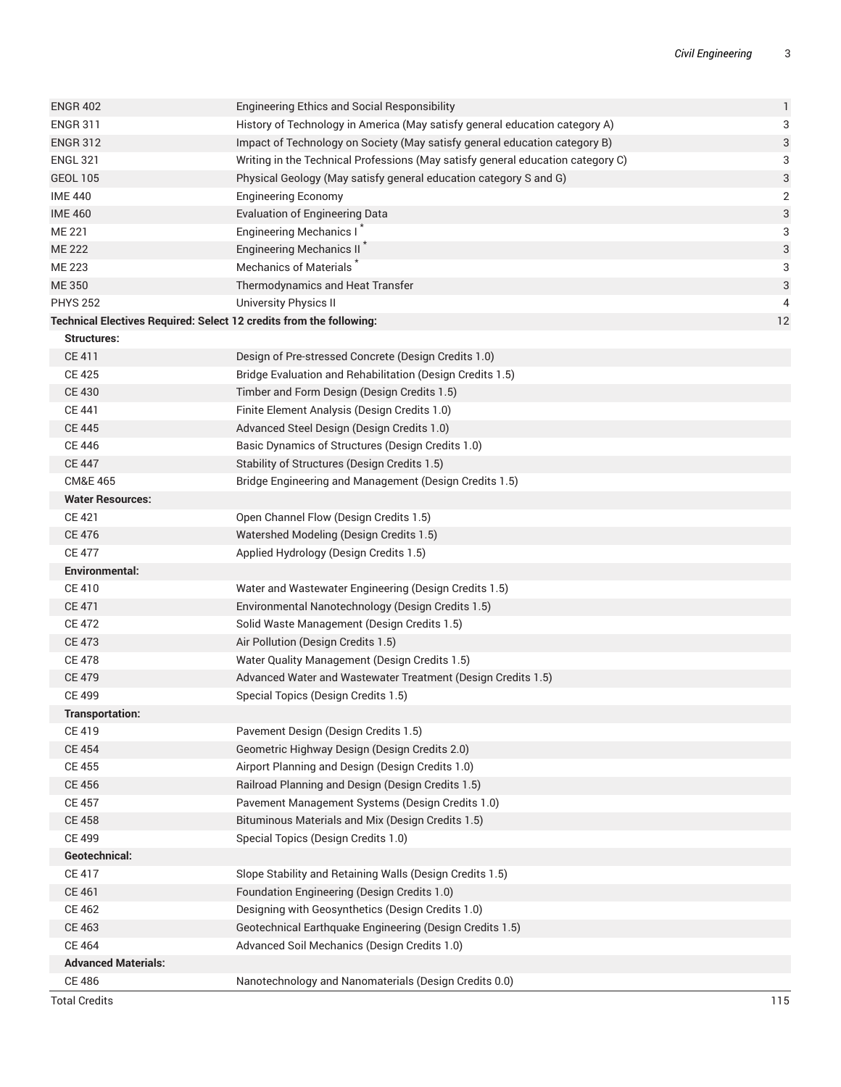| <b>Total Credits</b>       |                                                                                 | 115                     |
|----------------------------|---------------------------------------------------------------------------------|-------------------------|
| <b>CE 486</b>              | Nanotechnology and Nanomaterials (Design Credits 0.0)                           |                         |
| <b>Advanced Materials:</b> |                                                                                 |                         |
| <b>CE 464</b>              | Advanced Soil Mechanics (Design Credits 1.0)                                    |                         |
| CE 463                     | Geotechnical Earthquake Engineering (Design Credits 1.5)                        |                         |
| CE 462                     | Designing with Geosynthetics (Design Credits 1.0)                               |                         |
| CE 461                     | Foundation Engineering (Design Credits 1.0)                                     |                         |
| <b>CE 417</b>              | Slope Stability and Retaining Walls (Design Credits 1.5)                        |                         |
| Geotechnical:              |                                                                                 |                         |
| CE 499                     | Special Topics (Design Credits 1.0)                                             |                         |
| <b>CE 458</b>              | Bituminous Materials and Mix (Design Credits 1.5)                               |                         |
| <b>CE 457</b>              | Pavement Management Systems (Design Credits 1.0)                                |                         |
| <b>CE 456</b>              | Railroad Planning and Design (Design Credits 1.5)                               |                         |
| <b>CE 455</b>              | Airport Planning and Design (Design Credits 1.0)                                |                         |
| <b>CE 454</b>              | Geometric Highway Design (Design Credits 2.0)                                   |                         |
| <b>CE 419</b>              | Pavement Design (Design Credits 1.5)                                            |                         |
| <b>Transportation:</b>     |                                                                                 |                         |
| <b>CE 499</b>              | Special Topics (Design Credits 1.5)                                             |                         |
| <b>CE 479</b>              | Advanced Water and Wastewater Treatment (Design Credits 1.5)                    |                         |
| <b>CE 478</b>              | Water Quality Management (Design Credits 1.5)                                   |                         |
| <b>CE 473</b>              | Air Pollution (Design Credits 1.5)                                              |                         |
| <b>CE 472</b>              | Solid Waste Management (Design Credits 1.5)                                     |                         |
| <b>CE 471</b>              | Environmental Nanotechnology (Design Credits 1.5)                               |                         |
| <b>CE 410</b>              | Water and Wastewater Engineering (Design Credits 1.5)                           |                         |
| Environmental:             |                                                                                 |                         |
| <b>CE 477</b>              | Applied Hydrology (Design Credits 1.5)                                          |                         |
| <b>CE 476</b>              | Watershed Modeling (Design Credits 1.5)                                         |                         |
| <b>CE 421</b>              | Open Channel Flow (Design Credits 1.5)                                          |                         |
| <b>Water Resources:</b>    |                                                                                 |                         |
| <b>CM&amp;E 465</b>        | Bridge Engineering and Management (Design Credits 1.5)                          |                         |
| <b>CE 447</b>              | Stability of Structures (Design Credits 1.5)                                    |                         |
| <b>CE 446</b>              | Basic Dynamics of Structures (Design Credits 1.0)                               |                         |
| <b>CE 445</b>              | Advanced Steel Design (Design Credits 1.0)                                      |                         |
| <b>CE 441</b>              | Finite Element Analysis (Design Credits 1.0)                                    |                         |
| <b>CE 430</b>              | Timber and Form Design (Design Credits 1.5)                                     |                         |
| <b>CE 425</b>              | Bridge Evaluation and Rehabilitation (Design Credits 1.5)                       |                         |
| CE 411                     | Design of Pre-stressed Concrete (Design Credits 1.0)                            |                         |
| <b>Structures:</b>         |                                                                                 |                         |
|                            | Technical Electives Required: Select 12 credits from the following:             | 12                      |
| <b>PHYS 252</b>            | University Physics II                                                           | 4                       |
| ME 350                     | Thermodynamics and Heat Transfer                                                | 3                       |
| ME 223                     | Mechanics of Materials <sup>*</sup>                                             | 3                       |
| <b>ME 222</b>              | Engineering Mechanics II                                                        | 3                       |
| ME 221                     | <b>Engineering Mechanics I</b>                                                  | 3                       |
| <b>IME 460</b>             | <b>Evaluation of Engineering Data</b>                                           | 3                       |
| <b>IME 440</b>             | <b>Engineering Economy</b>                                                      | $\overline{\mathbf{c}}$ |
| <b>GEOL 105</b>            | Physical Geology (May satisfy general education category S and G)               | 3                       |
| <b>ENGL 321</b>            | Writing in the Technical Professions (May satisfy general education category C) | 3                       |
| <b>ENGR 312</b>            | Impact of Technology on Society (May satisfy general education category B)      | 3                       |
| <b>ENGR 311</b>            | History of Technology in America (May satisfy general education category A)     | 3                       |
| <b>ENGR 402</b>            | <b>Engineering Ethics and Social Responsibility</b>                             | 1                       |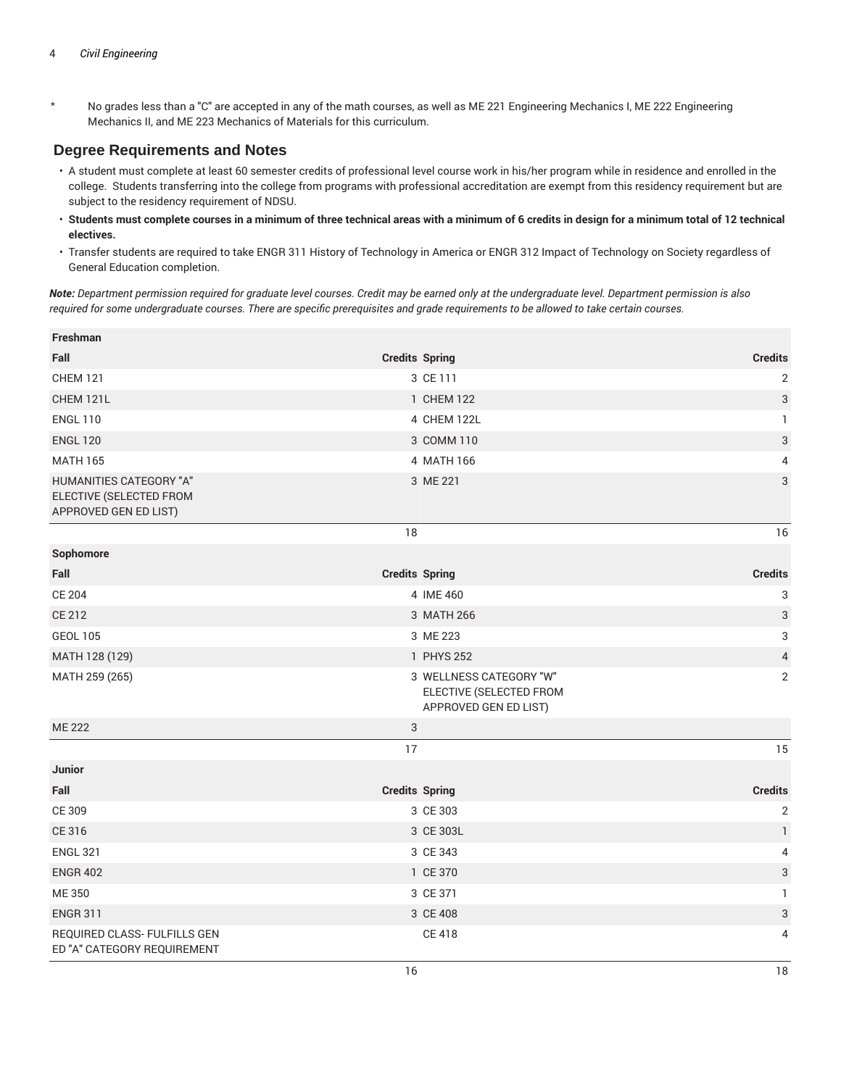\* No grades less than a "C" are accepted in any of the math courses, as well as ME 221 Engineering Mechanics I, ME 222 Engineering Mechanics II, and ME 223 Mechanics of Materials for this curriculum.

#### **Degree Requirements and Notes**

- A student must complete at least 60 semester credits of professional level course work in his/her program while in residence and enrolled in the college. Students transferring into the college from programs with professional accreditation are exempt from this residency requirement but are subject to the residency requirement of NDSU.
- **Students must complete courses in a minimum of three technical areas with a minimum of 6 credits in design for a minimum total of 12 technical electives.**
- Transfer students are required to take ENGR 311 History of Technology in America or ENGR 312 Impact of Technology on Society regardless of General Education completion.

Note: Department permission required for graduate level courses. Credit may be earned only at the undergraduate level. Department permission is also required for some undergraduate courses. There are specific prerequisites and grade requirements to be allowed to take certain courses.

| Freshman                                                                    |                           |                                                                             |                           |
|-----------------------------------------------------------------------------|---------------------------|-----------------------------------------------------------------------------|---------------------------|
| Fall                                                                        | <b>Credits Spring</b>     |                                                                             | <b>Credits</b>            |
| <b>CHEM 121</b>                                                             |                           | 3 CE 111                                                                    | $\overline{2}$            |
| CHEM 121L                                                                   |                           | 1 CHEM 122                                                                  | $\ensuremath{\mathsf{3}}$ |
| <b>ENGL 110</b>                                                             |                           | 4 CHEM 122L                                                                 | $\mathbf{1}$              |
| <b>ENGL 120</b>                                                             |                           | 3 COMM 110                                                                  | $\sqrt{3}$                |
| <b>MATH 165</b>                                                             |                           | 4 MATH 166                                                                  | 4                         |
| HUMANITIES CATEGORY "A"<br>ELECTIVE (SELECTED FROM<br>APPROVED GEN ED LIST) |                           | 3 ME 221                                                                    | $\ensuremath{\mathsf{3}}$ |
|                                                                             | 18                        |                                                                             | 16                        |
| Sophomore                                                                   |                           |                                                                             |                           |
| Fall                                                                        | <b>Credits Spring</b>     |                                                                             | <b>Credits</b>            |
| <b>CE 204</b>                                                               |                           | 4 IME 460                                                                   | 3                         |
| <b>CE 212</b>                                                               |                           | 3 MATH 266                                                                  | $\ensuremath{\mathsf{3}}$ |
| <b>GEOL 105</b>                                                             |                           | 3 ME 223                                                                    | $\mathsf 3$               |
| MATH 128 (129)                                                              |                           | 1 PHYS 252                                                                  | $\sqrt{4}$                |
| MATH 259 (265)                                                              |                           | 3 WELLNESS CATEGORY "W"<br>ELECTIVE (SELECTED FROM<br>APPROVED GEN ED LIST) | 2                         |
| <b>ME 222</b>                                                               | $\ensuremath{\mathsf{3}}$ |                                                                             |                           |
|                                                                             | 17                        |                                                                             | 15                        |
| <b>Junior</b>                                                               |                           |                                                                             |                           |
| Fall                                                                        | <b>Credits Spring</b>     |                                                                             | <b>Credits</b>            |
| CE 309                                                                      |                           | 3 CE 303                                                                    | $\overline{2}$            |
| CE 316                                                                      |                           | 3 CE 303L                                                                   | $\mathbf{1}$              |
| <b>ENGL 321</b>                                                             |                           | 3 CE 343                                                                    | 4                         |
| <b>ENGR 402</b>                                                             |                           | 1 CE 370                                                                    | $\ensuremath{\mathsf{3}}$ |
| ME 350                                                                      |                           | 3 CE 371                                                                    | $\mathbf{1}$              |
| <b>ENGR 311</b>                                                             |                           | 3 CE 408                                                                    | $\ensuremath{\mathsf{3}}$ |
| REQUIRED CLASS- FULFILLS GEN<br>ED "A" CATEGORY REQUIREMENT                 |                           | <b>CE 418</b>                                                               | 4                         |